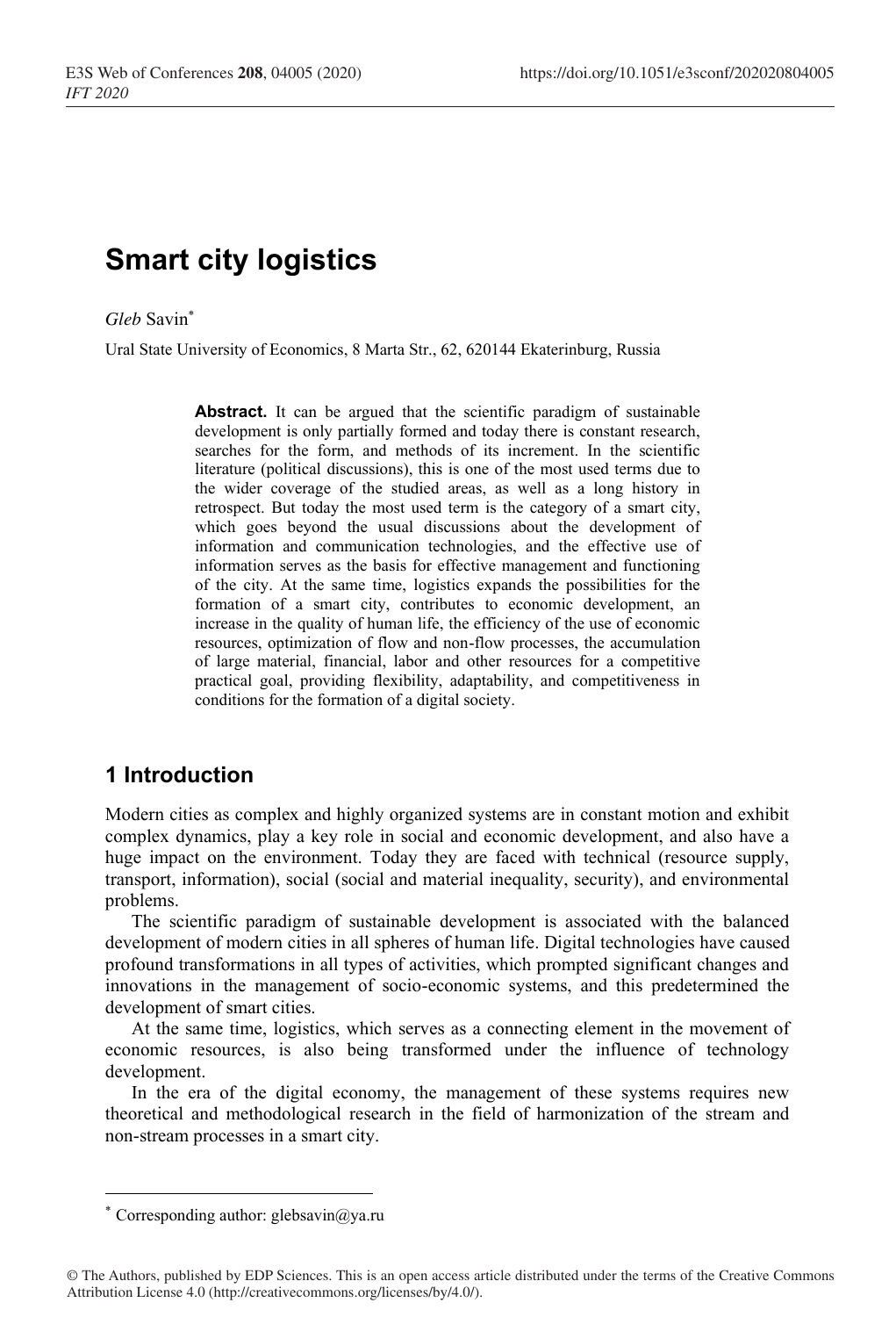# **Smart city logistics**

*Gleb* Savin\*

Ural State University of Economics, 8 Marta Str., 62, 620144 Ekaterinburg, Russia

Abstract. It can be argued that the scientific paradigm of sustainable development is only partially formed and today there is constant research, searches for the form, and methods of its increment. In the scientific literature (political discussions), this is one of the most used terms due to the wider coverage of the studied areas, as well as a long history in retrospect. But today the most used term is the category of a smart city, which goes beyond the usual discussions about the development of information and communication technologies, and the effective use of information serves as the basis for effective management and functioning of the city. At the same time, logistics expands the possibilities for the formation of a smart city, contributes to economic development, an increase in the quality of human life, the efficiency of the use of economic resources, optimization of flow and non-flow processes, the accumulation of large material, financial, labor and other resources for a competitive practical goal, providing flexibility, adaptability, and competitiveness in conditions for the formation of a digital society.

# **1 Introduction**

Modern cities as complex and highly organized systems are in constant motion and exhibit complex dynamics, play a key role in social and economic development, and also have a huge impact on the environment. Today they are faced with technical (resource supply, transport, information), social (social and material inequality, security), and environmental problems.

The scientific paradigm of sustainable development is associated with the balanced development of modern cities in all spheres of human life. Digital technologies have caused profound transformations in all types of activities, which prompted significant changes and innovations in the management of socio-economic systems, and this predetermined the development of smart cities.

At the same time, logistics, which serves as a connecting element in the movement of economic resources, is also being transformed under the influence of technology development.

In the era of the digital economy, the management of these systems requires new theoretical and methodological research in the field of harmonization of the stream and non-stream processes in a smart city.

<sup>\*</sup> Corresponding author: glebsavin@ya.ru

<sup>©</sup> The Authors, published by EDP Sciences. This is an open access article distributed under the terms of the Creative Commons Attribution License 4.0 (http://creativecommons.org/licenses/by/4.0/).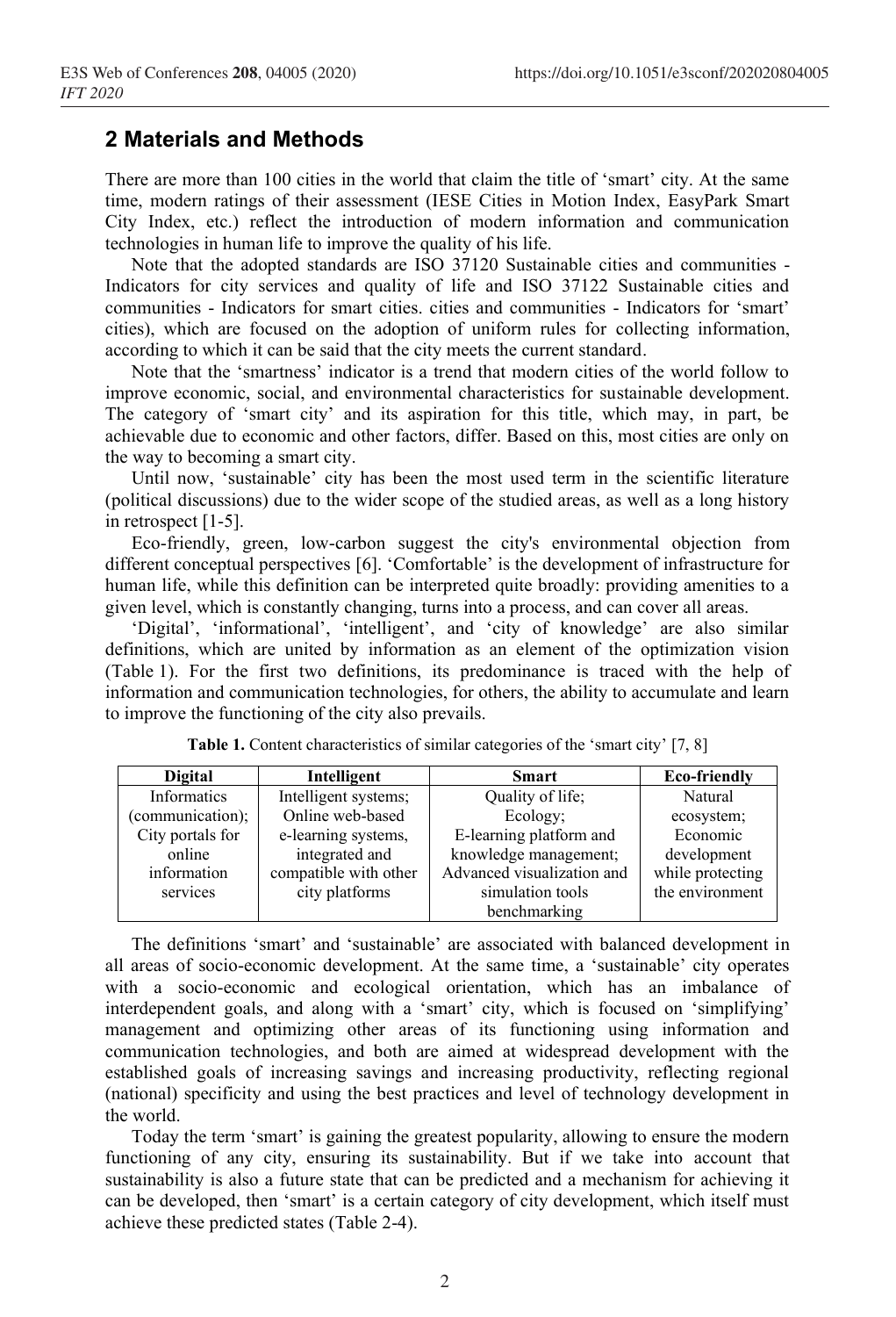## **2 Materials and Methods**

There are more than 100 cities in the world that claim the title of 'smart' city. At the same time, modern ratings of their assessment (IESE Cities in Motion Index, EasyPark Smart City Index, etc.) reflect the introduction of modern information and communication technologies in human life to improve the quality of his life.

Note that the adopted standards are ISO 37120 Sustainable cities and communities - Indicators for city services and quality of life and ISO 37122 Sustainable cities and communities - Indicators for smart cities. cities and communities - Indicators for 'smart' cities), which are focused on the adoption of uniform rules for collecting information, according to which it can be said that the city meets the current standard.

Note that the 'smartness' indicator is a trend that modern cities of the world follow to improve economic, social, and environmental characteristics for sustainable development. The category of 'smart city' and its aspiration for this title, which may, in part, be achievable due to economic and other factors, differ. Based on this, most cities are only on the way to becoming a smart city.

Until now, 'sustainable' city has been the most used term in the scientific literature (political discussions) due to the wider scope of the studied areas, as well as a long history in retrospect [1-5].

Eco-friendly, green, low-carbon suggest the city's environmental objection from different conceptual perspectives [6]. 'Comfortable' is the development of infrastructure for human life, while this definition can be interpreted quite broadly: providing amenities to a given level, which is constantly changing, turns into a process, and can cover all areas.

'Digital', 'informational', 'intelligent', and 'city of knowledge' are also similar definitions, which are united by information as an element of the optimization vision (Table 1). For the first two definitions, its predominance is traced with the help of information and communication technologies, for others, the ability to accumulate and learn to improve the functioning of the city also prevails.

| <b>Digital</b>   | Intelligent           | <b>Smart</b>               | Eco-friendly     |  |
|------------------|-----------------------|----------------------------|------------------|--|
| Informatics      | Intelligent systems;  | Quality of life;           | Natural          |  |
| (communication); | Online web-based      | Ecology;                   | ecosystem;       |  |
| City portals for | e-learning systems,   | E-learning platform and    | Economic         |  |
| online           | integrated and        | knowledge management;      | development      |  |
| information      | compatible with other | Advanced visualization and | while protecting |  |
| services         | city platforms        | simulation tools           | the environment  |  |
|                  |                       | benchmarking               |                  |  |

**Table 1.** Content characteristics of similar categories of the 'smart city' [7, 8]

The definitions 'smart' and 'sustainable' are associated with balanced development in all areas of socio-economic development. At the same time, a 'sustainable' city operates with a socio-economic and ecological orientation, which has an imbalance of interdependent goals, and along with a 'smart' city, which is focused on 'simplifying' management and optimizing other areas of its functioning using information and communication technologies, and both are aimed at widespread development with the established goals of increasing savings and increasing productivity, reflecting regional (national) specificity and using the best practices and level of technology development in the world.

Today the term 'smart' is gaining the greatest popularity, allowing to ensure the modern functioning of any city, ensuring its sustainability. But if we take into account that sustainability is also a future state that can be predicted and a mechanism for achieving it can be developed, then 'smart' is a certain category of city development, which itself must achieve these predicted states (Table 2-4).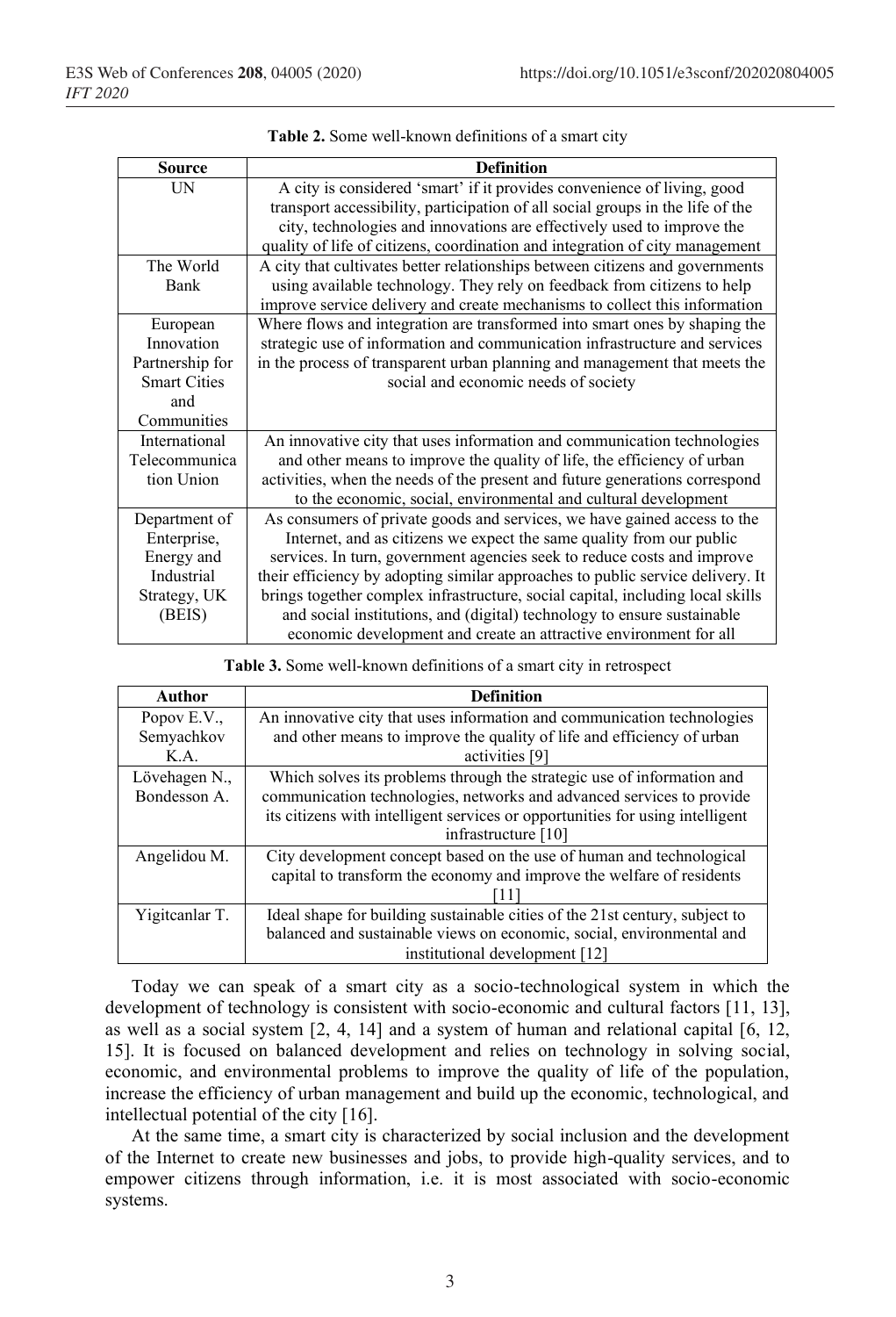| <b>Source</b>       | <b>Definition</b>                                                              |
|---------------------|--------------------------------------------------------------------------------|
| UN                  | A city is considered 'smart' if it provides convenience of living, good        |
|                     | transport accessibility, participation of all social groups in the life of the |
|                     | city, technologies and innovations are effectively used to improve the         |
|                     | quality of life of citizens, coordination and integration of city management   |
| The World           | A city that cultivates better relationships between citizens and governments   |
| <b>Bank</b>         | using available technology. They rely on feedback from citizens to help        |
|                     | improve service delivery and create mechanisms to collect this information     |
| European            | Where flows and integration are transformed into smart ones by shaping the     |
| Innovation          | strategic use of information and communication infrastructure and services     |
| Partnership for     | in the process of transparent urban planning and management that meets the     |
| <b>Smart Cities</b> | social and economic needs of society                                           |
| and                 |                                                                                |
| Communities         |                                                                                |
| International       | An innovative city that uses information and communication technologies        |
| Telecommunica       | and other means to improve the quality of life, the efficiency of urban        |
| tion Union          | activities, when the needs of the present and future generations correspond    |
|                     | to the economic, social, environmental and cultural development                |
| Department of       | As consumers of private goods and services, we have gained access to the       |
| Enterprise,         | Internet, and as citizens we expect the same quality from our public           |
| Energy and          | services. In turn, government agencies seek to reduce costs and improve        |
| Industrial          | their efficiency by adopting similar approaches to public service delivery. It |
| Strategy, UK        | brings together complex infrastructure, social capital, including local skills |
| (BEIS)              | and social institutions, and (digital) technology to ensure sustainable        |
|                     | economic development and create an attractive environment for all              |

|  |  |  | Table 2. Some well-known definitions of a smart city |  |  |  |  |
|--|--|--|------------------------------------------------------|--|--|--|--|
|--|--|--|------------------------------------------------------|--|--|--|--|

| <b>Table 3.</b> Some well-known definitions of a smart city in retrospect |  |  |  |
|---------------------------------------------------------------------------|--|--|--|
|                                                                           |  |  |  |

| Author         | <b>Definition</b>                                                             |
|----------------|-------------------------------------------------------------------------------|
| Popov E.V.,    | An innovative city that uses information and communication technologies       |
| Semyachkov     | and other means to improve the quality of life and efficiency of urban        |
| K.A.           | activities [9]                                                                |
| Lövehagen N.,  | Which solves its problems through the strategic use of information and        |
| Bondesson A.   | communication technologies, networks and advanced services to provide         |
|                | its citizens with intelligent services or opportunities for using intelligent |
|                | infrastructure [10]                                                           |
| Angelidou M.   | City development concept based on the use of human and technological          |
|                | capital to transform the economy and improve the welfare of residents         |
|                |                                                                               |
| Yigitcanlar T. | Ideal shape for building sustainable cities of the 21st century, subject to   |
|                | balanced and sustainable views on economic, social, environmental and         |
|                | institutional development [12]                                                |

Today we can speak of a smart city as a socio-technological system in which the development of technology is consistent with socio-economic and cultural factors [11, 13], as well as a social system  $[2, 4, 14]$  and a system of human and relational capital  $[6, 12, 16]$ 15]. It is focused on balanced development and relies on technology in solving social, economic, and environmental problems to improve the quality of life of the population, increase the efficiency of urban management and build up the economic, technological, and intellectual potential of the city [16].

At the same time, a smart city is characterized by social inclusion and the development of the Internet to create new businesses and jobs, to provide high-quality services, and to empower citizens through information, i.e. it is most associated with socio-economic systems.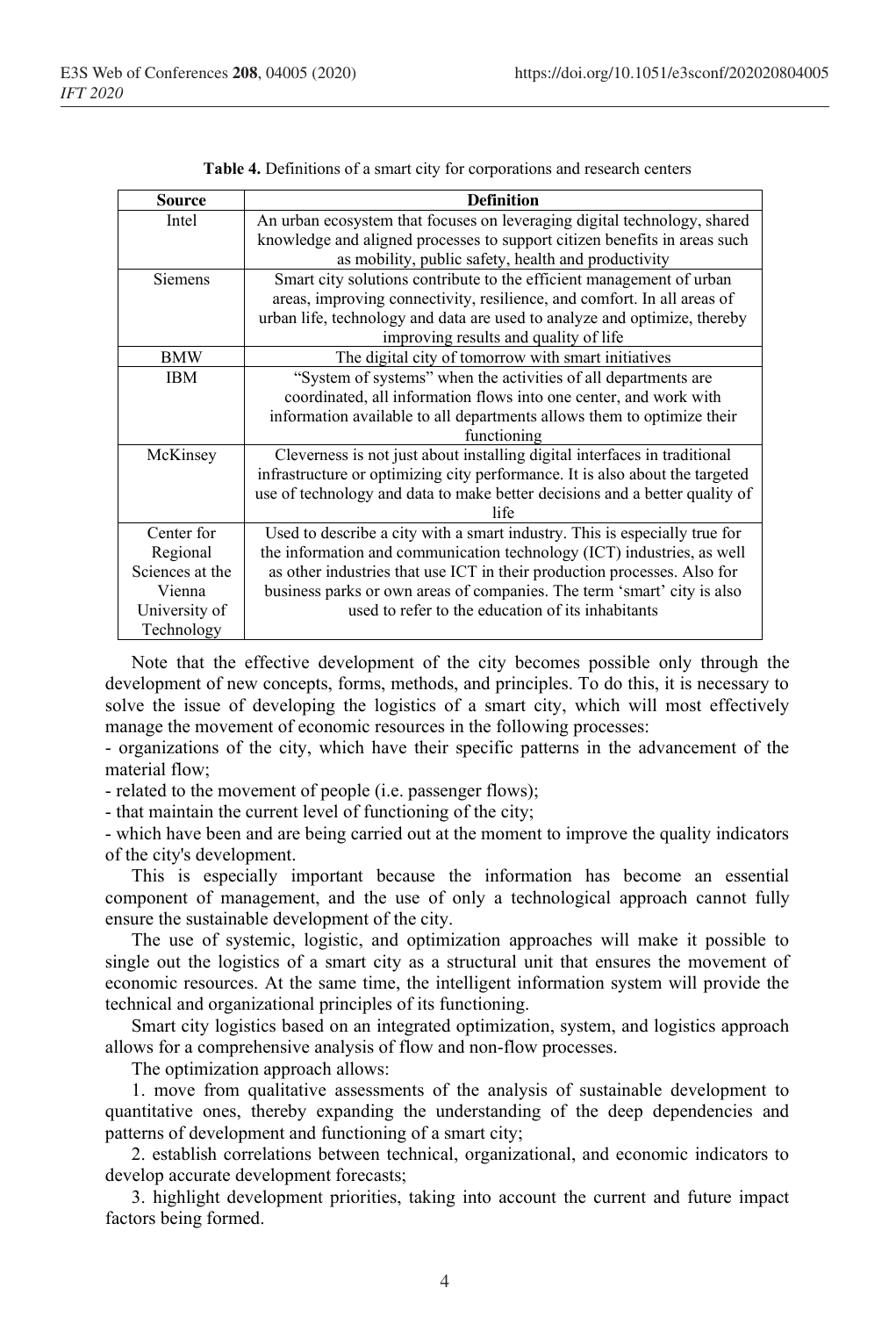| <b>Source</b>   | <b>Definition</b>                                                            |
|-----------------|------------------------------------------------------------------------------|
| Intel           | An urban ecosystem that focuses on leveraging digital technology, shared     |
|                 | knowledge and aligned processes to support citizen benefits in areas such    |
|                 | as mobility, public safety, health and productivity                          |
| <b>Siemens</b>  | Smart city solutions contribute to the efficient management of urban         |
|                 | areas, improving connectivity, resilience, and comfort. In all areas of      |
|                 | urban life, technology and data are used to analyze and optimize, thereby    |
|                 | improving results and quality of life                                        |
| <b>BMW</b>      | The digital city of tomorrow with smart initiatives                          |
| <b>IBM</b>      | "System of systems" when the activities of all departments are               |
|                 | coordinated, all information flows into one center, and work with            |
|                 | information available to all departments allows them to optimize their       |
|                 | functioning                                                                  |
| McKinsey        | Cleverness is not just about installing digital interfaces in traditional    |
|                 | infrastructure or optimizing city performance. It is also about the targeted |
|                 | use of technology and data to make better decisions and a better quality of  |
|                 | life                                                                         |
| Center for      | Used to describe a city with a smart industry. This is especially true for   |
| Regional        | the information and communication technology (ICT) industries, as well       |
| Sciences at the | as other industries that use ICT in their production processes. Also for     |
| Vienna          | business parks or own areas of companies. The term 'smart' city is also      |
| University of   | used to refer to the education of its inhabitants                            |
| Technology      |                                                                              |

Note that the effective development of the city becomes possible only through the development of new concepts, forms, methods, and principles. To do this, it is necessary to solve the issue of developing the logistics of a smart city, which will most effectively manage the movement of economic resources in the following processes:

- organizations of the city, which have their specific patterns in the advancement of the material flow;

- related to the movement of people (i.e. passenger flows);

- that maintain the current level of functioning of the city;

- which have been and are being carried out at the moment to improve the quality indicators of the city's development.

This is especially important because the information has become an essential component of management, and the use of only a technological approach cannot fully ensure the sustainable development of the city.

The use of systemic, logistic, and optimization approaches will make it possible to single out the logistics of a smart city as a structural unit that ensures the movement of economic resources. At the same time, the intelligent information system will provide the technical and organizational principles of its functioning.

Smart city logistics based on an integrated optimization, system, and logistics approach allows for a comprehensive analysis of flow and non-flow processes.

The optimization approach allows:

1. move from qualitative assessments of the analysis of sustainable development to quantitative ones, thereby expanding the understanding of the deep dependencies and patterns of development and functioning of a smart city;

2. establish correlations between technical, organizational, and economic indicators to develop accurate development forecasts;

3. highlight development priorities, taking into account the current and future impact factors being formed.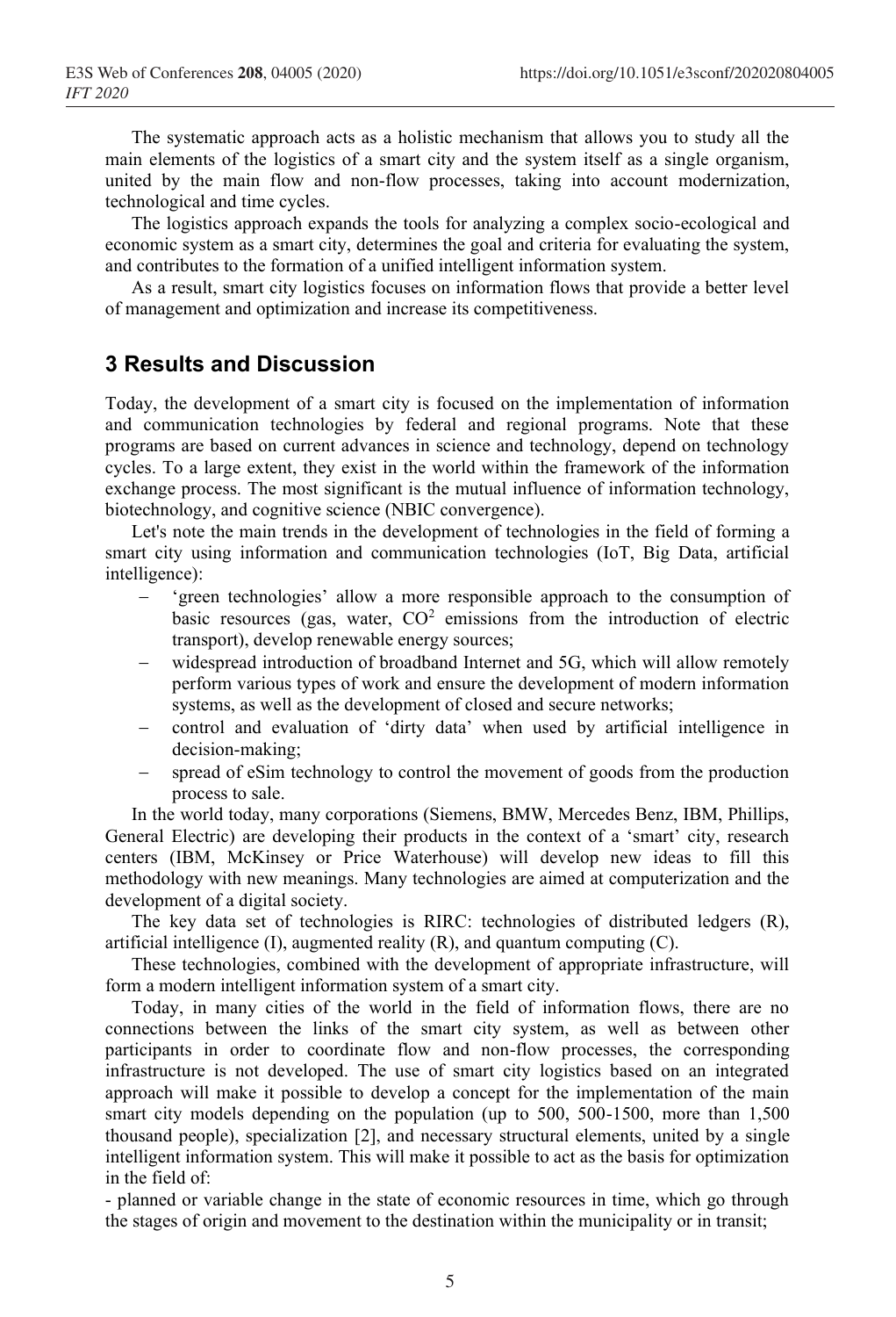The systematic approach acts as a holistic mechanism that allows you to study all the main elements of the logistics of a smart city and the system itself as a single organism, united by the main flow and non-flow processes, taking into account modernization, technological and time cycles.

The logistics approach expands the tools for analyzing a complex socio-ecological and economic system as a smart city, determines the goal and criteria for evaluating the system, and contributes to the formation of a unified intelligent information system.

As a result, smart city logistics focuses on information flows that provide a better level of management and optimization and increase its competitiveness.

#### **3 Results and Discussion**

Today, the development of a smart city is focused on the implementation of information and communication technologies by federal and regional programs. Note that these programs are based on current advances in science and technology, depend on technology cycles. To a large extent, they exist in the world within the framework of the information exchange process. The most significant is the mutual influence of information technology, biotechnology, and cognitive science (NBIC convergence).

Let's note the main trends in the development of technologies in the field of forming a smart city using information and communication technologies (IoT, Big Data, artificial intelligence):

- − 'green technologies' allow a more responsible approach to the consumption of basic resources (gas, water,  $CO<sup>2</sup>$  emissions from the introduction of electric transport), develop renewable energy sources;
- widespread introduction of broadband Internet and 5G, which will allow remotely perform various types of work and ensure the development of modern information systems, as well as the development of closed and secure networks;
- − control and evaluation of 'dirty data' when used by artificial intelligence in decision-making;
- spread of eSim technology to control the movement of goods from the production process to sale.

In the world today, many corporations (Siemens, BMW, Mercedes Benz, IBM, Phillips, General Electric) are developing their products in the context of a 'smart' city, research centers (IBM, McKinsey or Price Waterhouse) will develop new ideas to fill this methodology with new meanings. Many technologies are aimed at computerization and the development of a digital society.

The key data set of technologies is RIRC: technologies of distributed ledgers (R), artificial intelligence (I), augmented reality (R), and quantum computing (C).

These technologies, combined with the development of appropriate infrastructure, will form a modern intelligent information system of a smart city.

Today, in many cities of the world in the field of information flows, there are no connections between the links of the smart city system, as well as between other participants in order to coordinate flow and non-flow processes, the corresponding infrastructure is not developed. The use of smart city logistics based on an integrated approach will make it possible to develop a concept for the implementation of the main smart city models depending on the population (up to 500, 500-1500, more than 1,500 thousand people), specialization [2], and necessary structural elements, united by a single intelligent information system. This will make it possible to act as the basis for optimization in the field of:

- planned or variable change in the state of economic resources in time, which go through the stages of origin and movement to the destination within the municipality or in transit;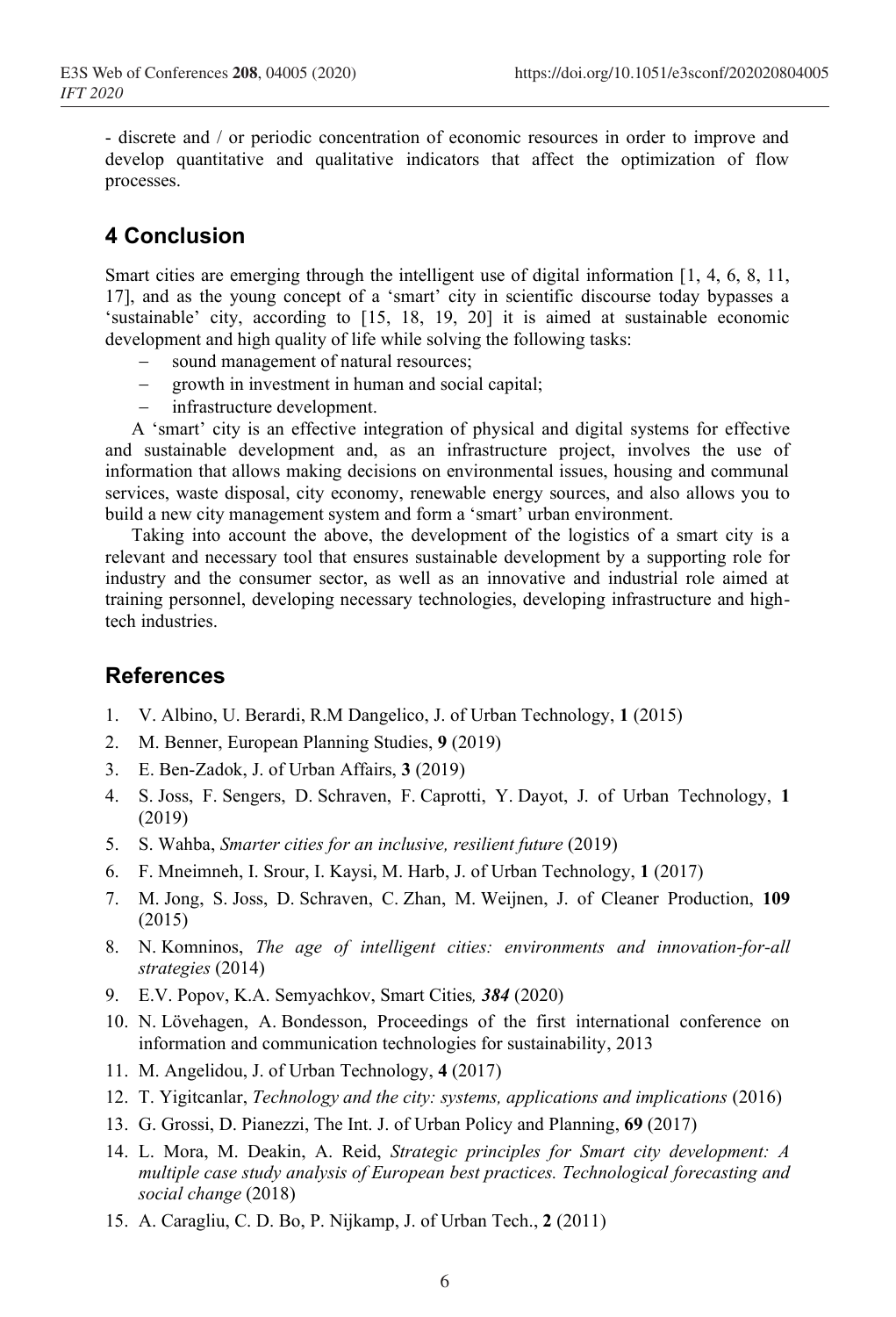- discrete and / or periodic concentration of economic resources in order to improve and develop quantitative and qualitative indicators that affect the optimization of flow processes.

# **4 Conclusion**

Smart cities are emerging through the intelligent use of digital information [1, 4, 6, 8, 11, 17], and as the young concept of a 'smart' city in scientific discourse today bypasses a 'sustainable' city, according to [15, 18, 19, 20] it is aimed at sustainable economic development and high quality of life while solving the following tasks:

- sound management of natural resources;
- growth in investment in human and social capital;
- − infrastructure development.

A 'smart' city is an effective integration of physical and digital systems for effective and sustainable development and, as an infrastructure project, involves the use of information that allows making decisions on environmental issues, housing and communal services, waste disposal, city economy, renewable energy sources, and also allows you to build a new city management system and form a 'smart' urban environment.

Taking into account the above, the development of the logistics of a smart city is a relevant and necessary tool that ensures sustainable development by a supporting role for industry and the consumer sector, as well as an innovative and industrial role aimed at training personnel, developing necessary technologies, developing infrastructure and hightech industries.

## **References**

- 1. V. Albino, U. Berardi, R.M Dangelico, J. of Urban Technology, **1** (2015)
- 2. M. Benner, European Planning Studies, **9** (2019)
- 3. E. Ben-Zadok, J. of Urban Affairs, **3** (2019)
- 4. S. Joss, F. Sengers, D. Schraven, F. Caprotti, Y. Dayot, J. of Urban Technology, **1** (2019)
- 5. S. Wahba, *Smarter cities for an inclusive, resilient future* (2019)
- 6. F. Mneimneh, I. Srour, I. Kaysi, M. Harb, J. of Urban Technology, **1** (2017)
- 7. M. Jong, S. Joss, D. Schraven, C. Zhan, M. Weijnen, J. of Cleaner Production, **109** (2015)
- 8. N. Komninos, *The age of intelligent cities: environments and innovation-for-all strategies* (2014)
- 9. E.V. Popov, K.A. Semyachkov, Smart Cities*, 384* (2020)
- 10. N. Lövehagen, A. Bondesson, Proceedings of the first international conference on information and communication technologies for sustainability, 2013
- 11. M. Angelidou, J. of Urban Technology, **4** (2017)
- 12. T. Yigitcanlar, *Technology and the city: systems, applications and implications* (2016)
- 13. G. Grossi, D. Pianezzi, The Int. J. of Urban Policy and Planning, **69** (2017)
- 14. L. Mora, M. Deakin, A. Reid, *Strategic principles for Smart city development: A multiple case study analysis of European best practices. Technological forecasting and social change* (2018)
- 15. A. Caragliu, C. D. Bo, P. Nijkamp, J. of Urban Tech., **2** (2011)